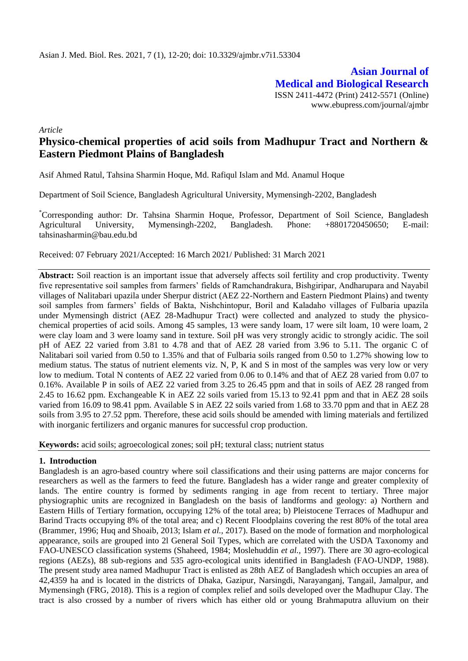**Asian Journal of Medical and Biological Research** ISSN 2411-4472 (Print) 2412-5571 (Online) www.ebupress.com/journal/ajmbr

*Article*

# **Physico-chemical properties of acid soils from Madhupur Tract and Northern & Eastern Piedmont Plains of Bangladesh**

Asif Ahmed Ratul, Tahsina Sharmin Hoque, Md. Rafiqul Islam and Md. Anamul Hoque

Department of Soil Science, Bangladesh Agricultural University, Mymensingh-2202, Bangladesh

\*Corresponding author: Dr. Tahsina Sharmin Hoque, Professor, Department of Soil Science, Bangladesh Agricultural University, Mymensingh-2202, Bangladesh. Phone: +8801720450650; E-mail: tahsinasharmin@bau.edu.bd

Received: 07 February 2021/Accepted: 16 March 2021/ Published: 31 March 2021

Abstract: Soil reaction is an important issue that adversely affects soil fertility and crop productivity. Twenty five representative soil samples from farmers' fields of Ramchandrakura, Bishgiripar, Andharupara and Nayabil villages of Nalitabari upazila under Sherpur district (AEZ 22-Northern and Eastern Piedmont Plains) and twenty soil samples from farmers' fields of Bakta, Nishchintopur, Boril and Kaladaho villages of Fulbaria upazila under Mymensingh district (AEZ 28-Madhupur Tract) were collected and analyzed to study the physicochemical properties of acid soils. Among 45 samples, 13 were sandy loam, 17 were silt loam, 10 were loam, 2 were clay loam and 3 were loamy sand in texture. Soil pH was very strongly acidic to strongly acidic. The soil pH of AEZ 22 varied from 3.81 to 4.78 and that of AEZ 28 varied from 3.96 to 5.11. The organic C of Nalitabari soil varied from 0.50 to 1.35% and that of Fulbaria soils ranged from 0.50 to 1.27% showing low to medium status. The status of nutrient elements viz. N, P, K and S in most of the samples was very low or very low to medium. Total N contents of AEZ 22 varied from 0.06 to 0.14% and that of AEZ 28 varied from 0.07 to 0.16%. Available P in soils of AEZ 22 varied from 3.25 to 26.45 ppm and that in soils of AEZ 28 ranged from 2.45 to 16.62 ppm. Exchangeable K in AEZ 22 soils varied from 15.13 to 92.41 ppm and that in AEZ 28 soils varied from 16.09 to 98.41 ppm. Available S in AEZ 22 soils varied from 1.68 to 33.70 ppm and that in AEZ 28 soils from 3.95 to 27.52 ppm. Therefore, these acid soils should be amended with liming materials and fertilized with inorganic fertilizers and organic manures for successful crop production.

**Keywords:** acid soils; agroecological zones; soil pH; textural class; nutrient status

# **1. Introduction**

Bangladesh is an agro-based country where soil classifications and their using patterns are major concerns for researchers as well as the farmers to feed the future. Bangladesh has a wider range and greater complexity of lands. The entire country is formed by sediments ranging in age from recent to tertiary. Three major physiographic units are recognized in Bangladesh on the basis of landforms and geology: a) Northern and Eastern Hills of Tertiary formation, occupying 12% of the total area; b) Pleistocene Terraces of Madhupur and Barind Tracts occupying 8% of the total area; and c) Recent Floodplains covering the rest 80% of the total area (Brammer, 1996; Huq and Shoaib, 2013; Islam *et al.,* 2017). Based on the mode of formation and morphological appearance, soils are grouped into 2l General Soil Types, which are correlated with the USDA Taxonomy and FAO-UNESCO classification systems (Shaheed, 1984; Moslehuddin *et al.,* 1997). There are 30 agro-ecological regions (AEZs), 88 sub-regions and 535 agro-ecological units identified in Bangladesh (FAO-UNDP, 1988). The present study area named Madhupur Tract is enlisted as 28th AEZ of Bangladesh which occupies an area of 42,4359 ha and is located in the districts of Dhaka, Gazipur, Narsingdi, Narayanganj, Tangail, Jamalpur, and Mymensingh (FRG, 2018). This is a region of complex relief and soils developed over the Madhupur Clay. The tract is also crossed by a number of rivers which has either old or young Brahmaputra alluvium on their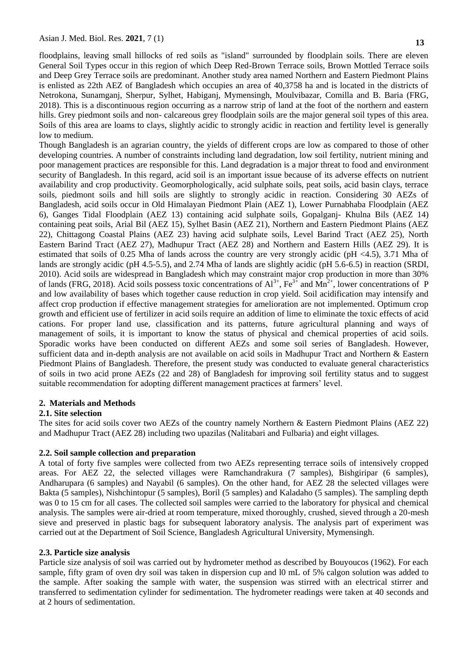floodplains, leaving small hillocks of red soils as "island" surrounded by floodplain soils. There are eleven General Soil Types occur in this region of which Deep Red-Brown Terrace soils, Brown Mottled Terrace soils and Deep Grey Terrace soils are predominant. Another study area named Northern and Eastern Piedmont Plains is enlisted as 22th AEZ of Bangladesh which occupies an area of 40,3758 ha and is located in the districts of Netrokona, Sunamganj, Sherpur, Sylhet, Habiganj, Mymensingh, Moulvibazar, Comilla and B. Baria (FRG, 2018). This is a discontinuous region occurring as a narrow strip of land at the foot of the northern and eastern hills. Grey piedmont soils and non- calcareous grey floodplain soils are the major general soil types of this area. Soils of this area are loams to clays, slightly acidic to strongly acidic in reaction and fertility level is generally low to medium.

Though Bangladesh is an agrarian country, the yields of different crops are low as compared to those of other developing countries. A number of constraints including land degradation, low soil fertility, nutrient mining and poor management practices are responsible for this. Land degradation is a major threat to food and environment security of Bangladesh. In this regard, acid soil is an important issue because of its adverse effects on nutrient availability and crop productivity. Geomorphologically, acid sulphate soils, peat soils, acid basin clays, terrace soils, piedmont soils and hill soils are slightly to strongly acidic in reaction. Considering 30 AEZs of Bangladesh, acid soils occur in Old Himalayan Piedmont Plain (AEZ 1), Lower Purnabhaba Floodplain (AEZ 6), Ganges Tidal Floodplain (AEZ 13) containing acid sulphate soils, Gopalganj- Khulna Bils (AEZ 14) containing peat soils, Arial Bil (AEZ 15), Sylhet Basin (AEZ 21), Northern and Eastern Piedmont Plains (AEZ 22), Chittagong Coastal Plains (AEZ 23) having acid sulphate soils, Level Barind Tract (AEZ 25), North Eastern Barind Tract (AEZ 27), Madhupur Tract (AEZ 28) and Northern and Eastern Hills (AEZ 29). It is estimated that soils of 0.25 Mha of lands across the country are very strongly acidic (pH <4.5), 3.71 Mha of lands are strongly acidic (pH 4.5-5.5), and 2.74 Mha of lands are slightly acidic (pH 5.6-6.5) in reaction (SRDI, 2010). Acid soils are widespread in Bangladesh which may constraint major crop production in more than 30% of lands (FRG, 2018). Acid soils possess toxic concentrations of  $Al^{3+}$ , Fe<sup>3+</sup> and Mn<sup>2+</sup>, lower concentrations of P and low availability of bases which together cause reduction in crop yield. Soil acidification may intensify and affect crop production if effective management strategies for amelioration are not implemented. Optimum crop growth and efficient use of fertilizer in acid soils require an addition of lime to eliminate the toxic effects of acid cations. For proper land use, classification and its patterns, future agricultural planning and ways of management of soils, it is important to know the status of physical and chemical properties of acid soils. Sporadic works have been conducted on different AEZs and some soil series of Bangladesh. However, sufficient data and in-depth analysis are not available on acid soils in Madhupur Tract and Northern & Eastern Piedmont Plains of Bangladesh. Therefore, the present study was conducted to evaluate general characteristics of soils in two acid prone AEZs (22 and 28) of Bangladesh for improving soil fertility status and to suggest suitable recommendation for adopting different management practices at farmers' level.

#### **2. Materials and Methods**

# **2.1. Site selection**

The sites for acid soils cover two AEZs of the country namely Northern & Eastern Piedmont Plains (AEZ 22) and Madhupur Tract (AEZ 28) including two upazilas (Nalitabari and Fulbaria) and eight villages.

# **2.2. Soil sample collection and preparation**

A total of forty five samples were collected from two AEZs representing terrace soils of intensively cropped areas. For AEZ 22, the selected villages were Ramchandrakura (7 samples), Bishgiripar (6 samples), Andharupara (6 samples) and Nayabil (6 samples). On the other hand, for AEZ 28 the selected villages were Bakta (5 samples), Nishchintopur (5 samples), Boril (5 samples) and Kaladaho (5 samples). The sampling depth was 0 to 15 cm for all cases. The collected soil samples were carried to the laboratory for physical and chemical analysis. The samples were air-dried at room temperature, mixed thoroughly, crushed, sieved through a 20-mesh sieve and preserved in plastic bags for subsequent laboratory analysis. The analysis part of experiment was carried out at the Department of Soil Science, Bangladesh Agricultural University, Mymensingh.

# **2.3. Particle size analysis**

Particle size analysis of soil was carried out by hydrometer method as described by Bouyoucos (1962). For each sample, fifty gram of oven dry soil was taken in dispersion cup and l0 mL of 5% calgon solution was added to the sample. After soaking the sample with water, the suspension was stirred with an electrical stirrer and transferred to sedimentation cylinder for sedimentation. The hydrometer readings were taken at 40 seconds and at 2 hours of sedimentation.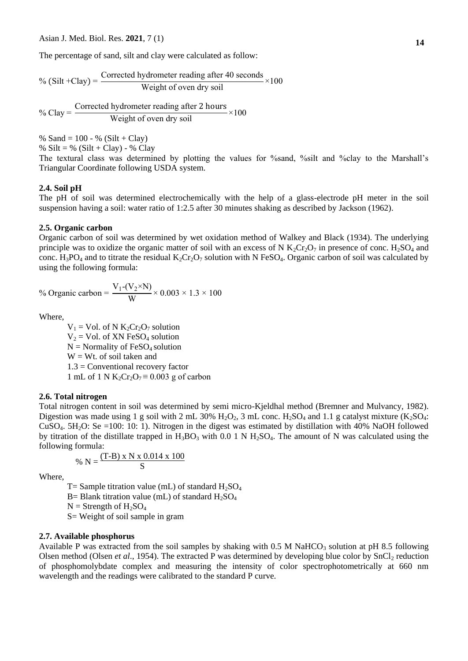The percentage of sand, silt and clay were calculated as follow:

 $%$  (Silt +Clay) = Corrected hydrometer reading after 40 seconds  $\frac{1}{2}$  weight of oven dry soil

 $%$  Clay = Corrected hydrometer reading after  $\frac{1}{2}$  Weight of oven dry soil

% Sand =  $100 - %$  (Silt + Clay)

% Silt = % (Silt + Clay) - % Clay

The textural class was determined by plotting the values for %sand, %silt and %clay to the Marshall's Triangular Coordinate following USDA system.

#### **2.4. Soil pH**

The pH of soil was determined electrochemically with the help of a glass-electrode pH meter in the soil suspension having a soil: water ratio of 1:2.5 after 30 minutes shaking as described by Jackson (1962).

#### **2.5. Organic carbon**

Organic carbon of soil was determined by wet oxidation method of Walkey and Black (1934). The underlying principle was to oxidize the organic matter of soil with an excess of N  $K_2Cr_2O_7$  in presence of conc. H<sub>2</sub>SO<sub>4</sub> and conc. H<sub>3</sub>PO<sub>4</sub> and to titrate the residual  $K_2Cr_2O_7$  solution with N FeSO<sub>4</sub>. Organic carbon of soil was calculated by using the following formula:

% Organic carbon  $V_1$ - $(V_2 \times N)$  $\frac{2}{\text{W}} \times 0.003 \times 1.3$ 

Where,

 $V_1$  = Vol. of N  $K_2Cr_2O_7$  solution  $V_2$  = Vol. of XN FeSO<sub>4</sub> solution  $N =$  Normality of FeSO<sub>4</sub> solution  $W = Wt$ . of soil taken and 1.3 = Conventional recovery factor 1 mL of 1 N K<sub>2</sub>Cr<sub>2</sub>O<sub>7</sub> ≡ 0.003 g of carbon

#### **2.6. Total nitrogen**

Total nitrogen content in soil was determined by semi micro-Kjeldhal method (Bremner and Mulvancy, 1982). Digestion was made using 1 g soil with 2 mL 30%  $H_2O_2$ , 3 mL conc.  $H_2SO_4$  and 1.1 g catalyst mixture (K<sub>2</sub>SO<sub>4</sub>: CuSO4. 5H2O: Se =100: 10: 1). Nitrogen in the digest was estimated by distillation with 40% NaOH followed by titration of the distillate trapped in  $H_3BO_3$  with 0.0 1 N  $H_2SO_4$ . The amount of N was calculated using the following formula:

% N = 
$$
\frac{(T-B) \times N \times 0.014 \times 100}{S}
$$

Where,

T= Sample titration value (mL) of standard  $H_2SO_4$ B= Blank titration value (mL) of standard  $H_2SO_4$  $N =$  Strength of  $H_2SO_4$ S= Weight of soil sample in gram

#### **2.7. Available phosphorus**

Available P was extracted from the soil samples by shaking with 0.5 M NaHCO<sub>3</sub> solution at pH 8.5 following Olsen method (Olsen *et al.*, 1954). The extracted P was determined by developing blue color by  $SnCl<sub>2</sub>$  reduction of phosphomolybdate complex and measuring the intensity of color spectrophotometrically at 660 nm wavelength and the readings were calibrated to the standard P curve.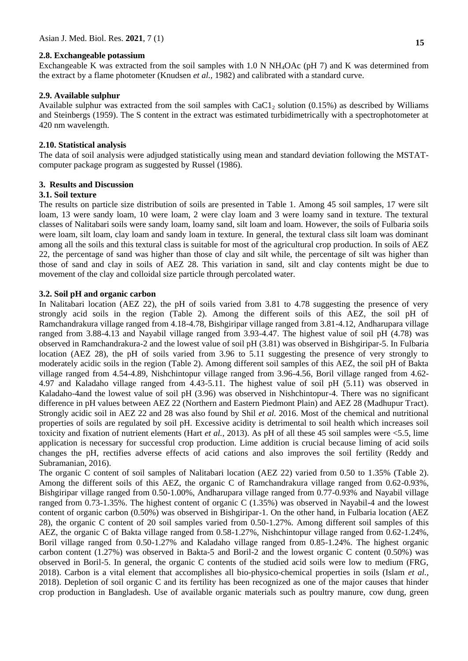### **2.8. Exchangeable potassium**

Exchangeable K was extracted from the soil samples with 1.0 N NH4OAc (pH 7) and K was determined from the extract by a flame photometer (Knudsen *et al.,* 1982) and calibrated with a standard curve.

#### **2.9. Available sulphur**

Available sulphur was extracted from the soil samples with  $CaCl<sub>2</sub>$  solution (0.15%) as described by Williams and Steinbergs (1959). The S content in the extract was estimated turbidimetrically with a spectrophotometer at 420 nm wavelength.

#### **2.10. Statistical analysis**

The data of soil analysis were adjudged statistically using mean and standard deviation following the MSTATcomputer package program as suggested by Russel (1986).

### **3. Results and Discussion**

# **3.1. Soil texture**

The results on particle size distribution of soils are presented in Table 1. Among 45 soil samples, 17 were silt loam, 13 were sandy loam, 10 were loam, 2 were clay loam and 3 were loamy sand in texture. The textural classes of Nalitabari soils were sandy loam, loamy sand, silt loam and loam. However, the soils of Fulbaria soils were loam, silt loam, clay loam and sandy loam in texture. In general, the textural class silt loam was dominant among all the soils and this textural class is suitable for most of the agricultural crop production. In soils of AEZ 22, the percentage of sand was higher than those of clay and silt while, the percentage of silt was higher than those of sand and clay in soils of AEZ 28. This variation in sand, silt and clay contents might be due to movement of the clay and colloidal size particle through percolated water.

#### **3.2. Soil pH and organic carbon**

In Nalitabari location (AEZ 22), the pH of soils varied from 3.81 to 4.78 suggesting the presence of very strongly acid soils in the region (Table 2). Among the different soils of this AEZ, the soil pH of Ramchandrakura village ranged from 4.18-4.78, Bishgiripar village ranged from 3.81-4.12, Andharupara village ranged from 3.88-4.13 and Nayabil village ranged from 3.93-4.47. The highest value of soil pH (4.78) was observed in Ramchandrakura-2 and the lowest value of soil pH (3.81) was observed in Bishgiripar-5. In Fulbaria location (AEZ 28), the pH of soils varied from 3.96 to 5.11 suggesting the presence of very strongly to moderately acidic soils in the region (Table 2). Among different soil samples of this AEZ, the soil pH of Bakta village ranged from 4.54-4.89, Nishchintopur village ranged from 3.96-4.56, Boril village ranged from 4.62- 4.97 and Kaladaho village ranged from 4.43-5.11. The highest value of soil pH (5.11) was observed in Kaladaho-4and the lowest value of soil pH (3.96) was observed in Nishchintopur-4. There was no significant difference in pH values between AEZ 22 (Northern and Eastern Piedmont Plain) and AEZ 28 (Madhupur Tract). Strongly acidic soil in AEZ 22 and 28 was also found by Shil *et al.* 2016. Most of the chemical and nutritional properties of soils are regulated by soil pH. Excessive acidity is detrimental to soil health which increases soil toxicity and fixation of nutrient elements (Hart *et al.,* 2013). As pH of all these 45 soil samples were <5.5, lime application is necessary for successful crop production. Lime addition is crucial because liming of acid soils changes the pH, rectifies adverse effects of acid cations and also improves the soil fertility (Reddy and Subramanian, 2016).

The organic C content of soil samples of Nalitabari location (AEZ 22) varied from 0.50 to 1.35% (Table 2). Among the different soils of this AEZ, the organic C of Ramchandrakura village ranged from 0.62-0.93%, Bishgiripar village ranged from 0.50-1.00%, Andharupara village ranged from 0.77-0.93% and Nayabil village ranged from 0.73-1.35%. The highest content of organic C (1.35%) was observed in Nayabil-4 and the lowest content of organic carbon (0.50%) was observed in Bishgiripar-1. On the other hand, in Fulbaria location (AEZ 28), the organic C content of 20 soil samples varied from 0.50-1.27%. Among different soil samples of this AEZ, the organic C of Bakta village ranged from 0.58-1.27%, Nishchintopur village ranged from 0.62-1.24%, Boril village ranged from 0.50-1.27% and Kaladaho village ranged from 0.85-1.24%. The highest organic carbon content (1.27%) was observed in Bakta-5 and Boril-2 and the lowest organic C content (0.50%) was observed in Boril-5. In general, the organic C contents of the studied acid soils were low to medium (FRG, 2018). Carbon is a vital element that accomplishes all bio-physico-chemical properties in soils (Islam *et al.,* 2018). Depletion of soil organic C and its fertility has been recognized as one of the major causes that hinder crop production in Bangladesh. Use of available organic materials such as poultry manure, cow dung, green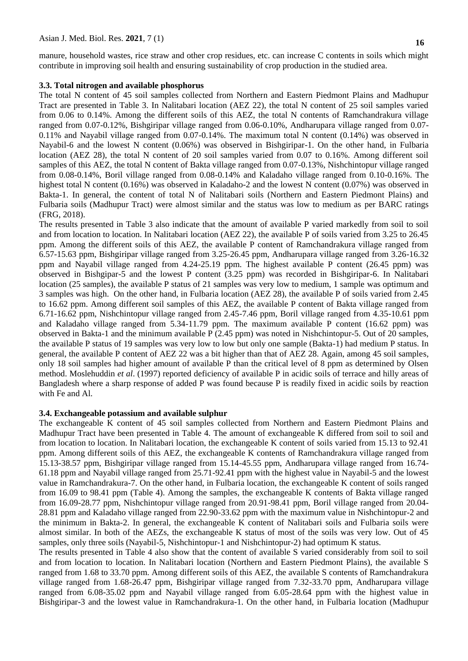manure, household wastes, rice straw and other crop residues, etc. can increase C contents in soils which might contribute in improving soil health and ensuring sustainability of crop production in the studied area.

#### **3.3. Total nitrogen and available phosphorus**

The total N content of 45 soil samples collected from Northern and Eastern Piedmont Plains and Madhupur Tract are presented in Table 3. In Nalitabari location (AEZ 22), the total N content of 25 soil samples varied from 0.06 to 0.14%. Among the different soils of this AEZ, the total N contents of Ramchandrakura village ranged from 0.07-0.12%, Bishgiripar village ranged from 0.06-0.10%, Andharupara village ranged from 0.07- 0.11% and Nayabil village ranged from 0.07-0.14%. The maximum total N content (0.14%) was observed in Nayabil-6 and the lowest N content (0.06%) was observed in Bishgiripar-1. On the other hand, in Fulbaria location (AEZ 28), the total N content of 20 soil samples varied from 0.07 to 0.16%. Among different soil samples of this AEZ, the total N content of Bakta village ranged from 0.07-0.13%, Nishchintopur village ranged from 0.08-0.14%, Boril village ranged from 0.08-0.14% and Kaladaho village ranged from 0.10-0.16%. The highest total N content (0.16%) was observed in Kaladaho-2 and the lowest N content (0.07%) was observed in Bakta-1. In general, the content of total N of Nalitabari soils (Northern and Eastern Piedmont Plains) and Fulbaria soils (Madhupur Tract) were almost similar and the status was low to medium as per BARC ratings (FRG, 2018).

The results presented in Table 3 also indicate that the amount of available P varied markedly from soil to soil and from location to location. In Nalitabari location (AEZ 22), the available P of soils varied from 3.25 to 26.45 ppm. Among the different soils of this AEZ, the available P content of Ramchandrakura village ranged from 6.57-15.63 ppm, Bishgiripar village ranged from 3.25-26.45 ppm, Andharupara village ranged from 3.26-16.32 ppm and Nayabil village ranged from 4.24-25.19 ppm. The highest available P content (26.45 ppm) was observed in Bishgipar-5 and the lowest P content (3.25 ppm) was recorded in Bishgiripar-6. In Nalitabari location (25 samples), the available P status of 21 samples was very low to medium, 1 sample was optimum and 3 samples was high. On the other hand, in Fulbaria location (AEZ 28), the available P of soils varied from 2.45 to 16.62 ppm. Among different soil samples of this AEZ, the available P content of Bakta village ranged from 6.71-16.62 ppm, Nishchintopur village ranged from 2.45-7.46 ppm, Boril village ranged from 4.35-10.61 ppm and Kaladaho village ranged from 5.34-11.79 ppm. The maximum available P content (16.62 ppm) was observed in Bakta-1 and the minimum available P (2.45 ppm) was noted in Nishchintopur-5. Out of 20 samples, the available P status of 19 samples was very low to low but only one sample (Bakta-1) had medium P status. In general, the available P content of AEZ 22 was a bit higher than that of AEZ 28. Again, among 45 soil samples, only 18 soil samples had higher amount of available P than the critical level of 8 ppm as determined by Olsen method. Moslehuddin *et al*. (1997) reported deficiency of available P in acidic soils of terrace and hilly areas of Bangladesh where a sharp response of added P was found because P is readily fixed in acidic soils by reaction with Fe and Al.

#### **3.4. Exchangeable potassium and available sulphur**

The exchangeable K content of 45 soil samples collected from Northern and Eastern Piedmont Plains and Madhupur Tract have been presented in Table 4. The amount of exchangeable K differed from soil to soil and from location to location. In Nalitabari location, the exchangeable K content of soils varied from 15.13 to 92.41 ppm. Among different soils of this AEZ, the exchangeable K contents of Ramchandrakura village ranged from 15.13-38.57 ppm, Bishgiripar village ranged from 15.14-45.55 ppm, Andharupara village ranged from 16.74- 61.18 ppm and Nayabil village ranged from 25.71-92.41 ppm with the highest value in Nayabil-5 and the lowest value in Ramchandrakura-7. On the other hand, in Fulbaria location, the exchangeable K content of soils ranged from 16.09 to 98.41 ppm (Table 4). Among the samples, the exchangeable K contents of Bakta village ranged from 16.09-28.77 ppm, Nishchintopur village ranged from 20.91-98.41 ppm, Boril village ranged from 20.04- 28.81 ppm and Kaladaho village ranged from 22.90-33.62 ppm with the maximum value in Nishchintopur-2 and the minimum in Bakta-2. In general, the exchangeable K content of Nalitabari soils and Fulbaria soils were almost similar. In both of the AEZs, the exchangeable K status of most of the soils was very low. Out of 45 samples, only three soils (Nayabil-5, Nishchintopur-1 and Nishchintopur-2) had optimum K status.

The results presented in Table 4 also show that the content of available S varied considerably from soil to soil and from location to location. In Nalitabari location (Northern and Eastern Piedmont Plains), the available S ranged from 1.68 to 33.70 ppm. Among different soils of this AEZ, the available S contents of Ramchandrakura village ranged from 1.68-26.47 ppm, Bishgiripar village ranged from 7.32-33.70 ppm, Andharupara village ranged from 6.08-35.02 ppm and Nayabil village ranged from 6.05-28.64 ppm with the highest value in Bishgiripar-3 and the lowest value in Ramchandrakura-1. On the other hand, in Fulbaria location (Madhupur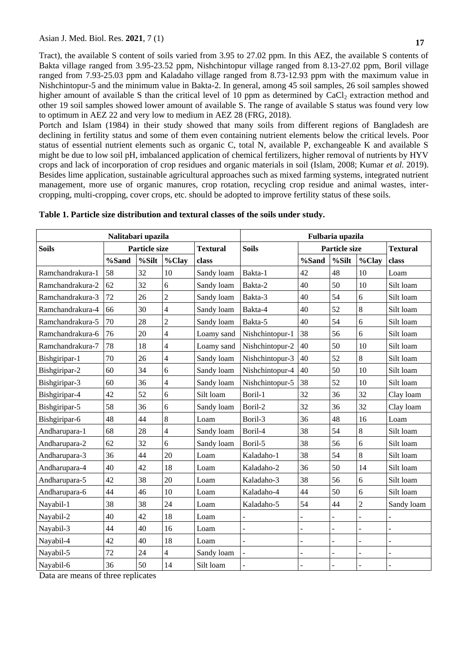Tract), the available S content of soils varied from 3.95 to 27.02 ppm. In this AEZ, the available S contents of Bakta village ranged from 3.95-23.52 ppm, Nishchintopur village ranged from 8.13-27.02 ppm, Boril village ranged from 7.93-25.03 ppm and Kaladaho village ranged from 8.73-12.93 ppm with the maximum value in Nishchintopur-5 and the minimum value in Bakta-2. In general, among 45 soil samples, 26 soil samples showed higher amount of available S than the critical level of 10 ppm as determined by  $CaCl<sub>2</sub>$  extraction method and other 19 soil samples showed lower amount of available S. The range of available S status was found very low to optimum in AEZ 22 and very low to medium in AEZ 28 (FRG, 2018).

Portch and Islam (1984) in their study showed that many soils from different regions of Bangladesh are declining in fertility status and some of them even containing nutrient elements below the critical levels. Poor status of essential nutrient elements such as organic C, total N, available P, exchangeable K and available S might be due to low soil pH, imbalanced application of chemical fertilizers, higher removal of nutrients by HYV crops and lack of incorporation of crop residues and organic materials in soil (Islam, 2008; Kumar *et al.* 2019). Besides lime application, sustainable agricultural approaches such as mixed farming systems, integrated nutrient management, more use of organic manures, crop rotation, recycling crop residue and animal wastes, intercropping, multi-cropping, cover crops, etc. should be adopted to improve fertility status of these soils.

| Nalitabari upazila |                      |       |                 | Fulbaria upazila |                      |    |                 |                |                |
|--------------------|----------------------|-------|-----------------|------------------|----------------------|----|-----------------|----------------|----------------|
| <b>Soils</b>       | <b>Particle size</b> |       | <b>Textural</b> | <b>Soils</b>     | <b>Particle size</b> |    | <b>Textural</b> |                |                |
|                    | %Sand                | %Silt | %Clay           | class            | %Sand                |    | %Silt           | $%$ Clay       | class          |
| Ramchandrakura-1   | 58                   | 32    | 10              | Sandy loam       | Bakta-1              | 42 | 48              | 10             | Loam           |
| Ramchandrakura-2   | 62                   | 32    | 6               | Sandy loam       | Bakta-2              | 40 | 50              | 10             | Silt loam      |
| Ramchandrakura-3   | 72                   | 26    | $\overline{2}$  | Sandy loam       | Bakta-3              | 40 | 54              | 6              | Silt loam      |
| Ramchandrakura-4   | 66                   | 30    | $\overline{4}$  | Sandy loam       | Bakta-4              | 40 | 52              | 8              | Silt loam      |
| Ramchandrakura-5   | 70                   | 28    | $\overline{c}$  | Sandy loam       | Bakta-5              | 40 | 54              | 6              | Silt loam      |
| Ramchandrakura-6   | 76                   | 20    | $\overline{4}$  | Loamy sand       | Nishchintopur-1      | 38 | 56              | 6              | Silt loam      |
| Ramchandrakura-7   | 78                   | 18    | $\overline{4}$  | Loamy sand       | Nishchintopur-2      | 40 | 50              | 10             | Silt loam      |
| Bishgiripar-1      | 70                   | 26    | $\overline{4}$  | Sandy loam       | Nishchintopur-3      | 40 | 52              | 8              | Silt loam      |
| Bishgiripar-2      | 60                   | 34    | 6               | Sandy loam       | Nishchintopur-4      | 40 | 50              | 10             | Silt loam      |
| Bishgiripar-3      | 60                   | 36    | $\overline{4}$  | Sandy loam       | Nishchintopur-5      | 38 | 52              | 10             | Silt loam      |
| Bishgiripar-4      | 42                   | 52    | 6               | Silt loam        | Boril-1              | 32 | 36              | 32             | Clay loam      |
| Bishgiripar-5      | 58                   | 36    | 6               | Sandy loam       | Boril-2              | 32 | 36              | 32             | Clay loam      |
| Bishgiripar-6      | 48                   | 44    | 8               | Loam             | Boril-3              | 36 | 48              | 16             | Loam           |
| Andharupara-1      | 68                   | 28    | $\overline{4}$  | Sandy loam       | Boril-4              | 38 | 54              | 8              | Silt loam      |
| Andharupara-2      | 62                   | 32    | 6               | Sandy loam       | Boril-5              | 38 | 56              | 6              | Silt loam      |
| Andharupara-3      | 36                   | 44    | 20              | Loam             | Kaladaho-1           | 38 | 54              | 8              | Silt loam      |
| Andharupara-4      | 40                   | 42    | 18              | Loam             | Kaladaho-2           | 36 | 50              | 14             | Silt loam      |
| Andharupara-5      | 42                   | 38    | 20              | Loam             | Kaladaho-3           | 38 | 56              | 6              | Silt loam      |
| Andharupara-6      | 44                   | 46    | 10              | Loam             | Kaladaho-4           | 44 | 50              | 6              | Silt loam      |
| Nayabil-1          | 38                   | 38    | 24              | Loam             | Kaladaho-5           | 54 | 44              | $\overline{2}$ | Sandy loam     |
| Nayabil-2          | 40                   | 42    | 18              | Loam             |                      | L  |                 |                |                |
| Nayabil-3          | 44                   | 40    | 16              | Loam             |                      |    |                 |                |                |
| Nayabil-4          | 42                   | 40    | 18              | Loam             | $\overline{a}$       |    |                 |                |                |
| Nayabil-5          | 72                   | 24    | $\overline{4}$  | Sandy loam       |                      | L. | L.              |                | $\overline{a}$ |
| Nayabil-6          | 36                   | 50    | 14              | Silt loam        |                      |    |                 |                |                |

**Table 1. Particle size distribution and textural classes of the soils under study.**

Data are means of three replicates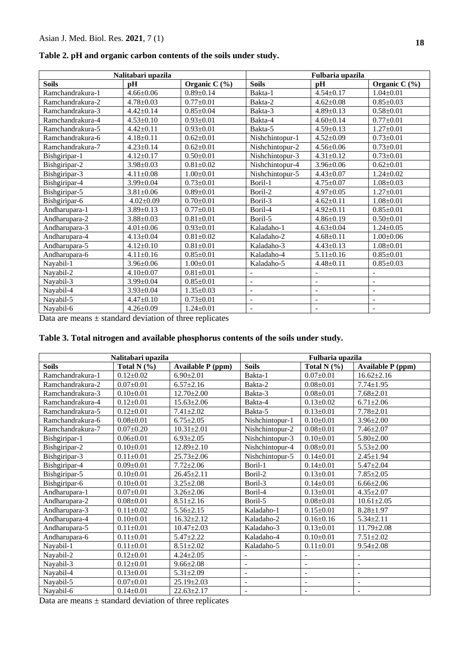| Table 2. pH and organic carbon contents of the soils under study. |  |  |  |  |
|-------------------------------------------------------------------|--|--|--|--|
|                                                                   |  |  |  |  |

|                  | Nalitabari upazila |                   |                          | Fulbaria upazila         |                          |
|------------------|--------------------|-------------------|--------------------------|--------------------------|--------------------------|
| <b>Soils</b>     | <b>pH</b>          | Organic C $(\% )$ | <b>Soils</b>             | pH                       | Organic C (%)            |
| Ramchandrakura-1 | $4.66 \pm 0.06$    | $0.89 \pm 0.14$   | Bakta-1                  | $4.54 \pm 0.17$          | $1.04 \pm 0.01$          |
| Ramchandrakura-2 | $4.78 \pm 0.03$    | $0.77 \pm 0.01$   | Bakta-2                  | $4.62 \pm 0.08$          | $0.85 \pm 0.03$          |
| Ramchandrakura-3 | $4.42 \pm 0.14$    | $0.85 \pm 0.04$   | Bakta-3                  | $4.89 \pm 0.13$          | $0.58 \pm 0.01$          |
| Ramchandrakura-4 | $4.53 \pm 0.10$    | $0.93 \pm 0.01$   | Bakta-4                  | $4.60 \pm 0.14$          | $0.77 + 0.01$            |
| Ramchandrakura-5 | $4.42 \pm 0.11$    | $0.93 \pm 0.01$   | Bakta-5                  | $4.59 \pm 0.13$          | $1.27 \pm 0.01$          |
| Ramchandrakura-6 | $4.18 \pm 0.11$    | $0.62 \pm 0.01$   | Nishchintopur-1          | $4.52 \pm 0.09$          | $0.73 \pm 0.01$          |
| Ramchandrakura-7 | $4.23 \pm 0.14$    | $0.62+0.01$       | Nishchintopur-2          | $4.56 \pm 0.06$          | $0.73 \pm 0.01$          |
| Bishgiripar-1    | $4.12 \pm 0.17$    | $0.50 \pm 0.01$   | Nishchintopur-3          | $4.31 \pm 0.12$          | $0.73 \pm 0.01$          |
| Bishgiripar-2    | $3.98 \pm 0.03$    | $0.81 \pm 0.02$   | Nishchintopur-4          | $3.96 \pm 0.06$          | $0.62 \pm 0.01$          |
| Bishgiripar-3    | $4.11 \pm 0.08$    | $1.00+0.01$       | Nishchintopur-5          | $4.43 \pm 0.07$          | $1.24 \pm 0.02$          |
| Bishgiripar-4    | $3.99 \pm 0.04$    | $0.73 \pm 0.01$   | Boril-1                  | $4.75 \pm 0.07$          | $1.08 \pm 0.03$          |
| Bishgiripar-5    | $3.81 \pm 0.06$    | $0.89 \pm 0.01$   | Boril-2                  | $4.97 \pm 0.05$          | $1.27 \pm 0.01$          |
| Bishgiripar-6    | $4.02 \pm 0.09$    | $0.70+0.01$       | Boril-3                  | $4.62 \pm 0.11$          | $1.08 \pm 0.01$          |
| Andharupara-1    | $3.89 \pm 0.13$    | $0.77 \pm 0.01$   | Boril-4                  | $4.92 \pm 0.11$          | $0.85 \pm 0.01$          |
| Andharupara-2    | $3.88 \pm 0.03$    | $0.81 \pm 0.01$   | Boril-5                  | $4.86 \pm 0.19$          | $0.50 \pm 0.01$          |
| Andharupara-3    | $4.01 \pm 0.06$    | $0.93 \pm 0.01$   | Kaladaho-1               | $4.63 \pm 0.04$          | $1.24 \pm 0.05$          |
| Andharupara-4    | $4.13 \pm 0.04$    | $0.81 \pm 0.02$   | Kaladaho-2               | $4.68 \pm 0.11$          | $1.00 \pm 0.06$          |
| Andharupara-5    | $4.12 \pm 0.10$    | $0.81 \pm 0.01$   | Kaladaho-3               | $4.43 \pm 0.13$          | $1.08 \pm 0.01$          |
| Andharupara-6    | $4.11 \pm 0.16$    | $0.85 \pm 0.01$   | Kaladaho-4               | $5.11 \pm 0.16$          | $0.85 \pm 0.01$          |
| Nayabil-1        | $3.96 \pm 0.06$    | $1.00 \pm 0.01$   | Kaladaho-5               | $4.48 \pm 0.11$          | $0.85 \pm 0.03$          |
| Nayabil-2        | $4.10 \pm 0.07$    | $0.81 \pm 0.01$   | $\overline{\phantom{a}}$ | $\blacksquare$           | $\overline{a}$           |
| Nayabil-3        | $3.99 \pm 0.04$    | $0.85 \pm 0.01$   | $\overline{\phantom{a}}$ | $\overline{\phantom{0}}$ | $\overline{\phantom{a}}$ |
| Nayabil-4        | $3.93 \pm 0.04$    | $1.35 \pm 0.03$   | $\blacksquare$           | $\blacksquare$           | $\qquad \qquad -$        |
| Nayabil-5        | $4.47 \pm 0.10$    | $0.73 \pm 0.01$   | $\overline{\phantom{a}}$ | $\overline{\phantom{a}}$ | $\overline{\phantom{a}}$ |
| Nayabil-6        | $4.26 \pm 0.09$    | $1.24 \pm 0.01$   | $\overline{\phantom{a}}$ | $\overline{\phantom{a}}$ | $\overline{\phantom{a}}$ |

Data are means  $\pm$  standard deviation of three replicates

# **Table 3. Total nitrogen and available phosphorus contents of the soils under study.**

|                  | Nalitabari upazila |                          | Fulbaria upazila         |                          |                          |  |
|------------------|--------------------|--------------------------|--------------------------|--------------------------|--------------------------|--|
| <b>Soils</b>     | Total N $(\% )$    | <b>Available P</b> (ppm) | <b>Soils</b>             | Total N $(%)$            | <b>Available P</b> (ppm) |  |
| Ramchandrakura-1 | $0.12 \pm 0.02$    | $6.90 \pm 2.01$          | Bakta-1                  | $0.07 \pm 0.01$          | $16.62 \pm 2.16$         |  |
| Ramchandrakura-2 | $0.07 \pm 0.01$    | $6.57 \pm 2.16$          | Bakta-2                  | $0.08 \pm 0.01$          | $7.74 \pm 1.95$          |  |
| Ramchandrakura-3 | $0.10 \pm 0.01$    | $12.70 \pm 2.00$         | Bakta-3                  | $0.08 \pm 0.01$          | $7.68 \pm 2.01$          |  |
| Ramchandrakura-4 | $0.12{\pm}0.01$    | $15.63 \pm 2.06$         | Bakta-4                  | $0.13 \pm 0.02$          | $6.71 \pm 2.06$          |  |
| Ramchandrakura-5 | $0.12 \pm 0.01$    | $7.41 \pm 2.02$          | Bakta-5                  | $0.13 \pm 0.01$          | $7.78 \pm 2.01$          |  |
| Ramchandrakura-6 | $0.08 \pm 0.01$    | $6.75 \pm 2.05$          | Nishchintopur-1          | $0.10+0.01$              | $3.96 \pm 2.00$          |  |
| Ramchandrakura-7 | $0.07 \pm 0.20$    | $10.31 \pm 2.01$         | Nishchintopur-2          | $0.08 \pm 0.01$          | $7.46 \pm 2.07$          |  |
| Bishgiripar-1    | $0.06 \pm 0.01$    | $6.93 \pm 2.05$          | Nishchintopur-3          | $0.10+0.01$              | $5.80 \pm 2.00$          |  |
| Bishgiripar-2    | $0.10 \pm 0.01$    | $12.89 \pm 2.10$         | Nishchintopur-4          | $0.08 \pm 0.01$          | $5.53 \pm 2.00$          |  |
| Bishgiripar-3    | $0.11 \pm 0.01$    | $25.73 \pm 2.06$         | Nishchintopur-5          | $0.14 \pm 0.01$          | $2.45 \pm 1.94$          |  |
| Bishgiripar-4    | $0.09 \pm 0.01$    | $7.72 \pm 2.06$          | Boril-1                  | $0.14 \pm 0.01$          | $5.47 \pm 2.04$          |  |
| Bishgiripar-5    | $0.10 \pm 0.01$    | $26.45 \pm 2.11$         | Boril-2                  | $0.13 \pm 0.01$          | $7.85 \pm 2.05$          |  |
| Bishgiripar-6    | $0.10 \pm 0.01$    | $3.25 \pm 2.08$          | Boril-3                  | $0.14 \pm 0.01$          | $6.66 \pm 2.06$          |  |
| Andharupara-1    | $0.07 \pm 0.01$    | $3.26 \pm 2.06$          | Boril-4                  | $0.13 \pm 0.01$          | $4.35 \pm 2.07$          |  |
| Andharupara-2    | $0.08 \pm 0.01$    | $8.51 \pm 2.16$          | Boril-5                  | $0.08 \pm 0.01$          | $10.61 \pm 2.05$         |  |
| Andharupara-3    | $0.11 \pm 0.02$    | $5.56 \pm 2.15$          | Kaladaho-1               | $0.15 \pm 0.01$          | $8.28 \pm 1.97$          |  |
| Andharupara-4    | $0.10 \pm 0.01$    | $16.32 \pm 2.12$         | Kaladaho-2               | $0.16 \pm 0.16$          | $5.34 \pm 2.11$          |  |
| Andharupara-5    | $0.11 \pm 0.01$    | $10.47 \pm 2.03$         | Kaladaho-3               | $0.13 \pm 0.01$          | $11.79 \pm 2.08$         |  |
| Andharupara-6    | $0.11 \pm 0.01$    | $5.47 \pm 2.22$          | Kaladaho-4               | $0.10 \pm 0.01$          | $7.51 \pm 2.02$          |  |
| Nayabil-1        | $0.11 \pm 0.01$    | $8.51 \pm 2.02$          | Kaladaho-5               | $0.11 \pm 0.01$          | $9.54 \pm 2.08$          |  |
| Nayabil-2        | $0.12 \pm 0.01$    | $4.24 \pm 2.05$          | $\overline{a}$           | -                        |                          |  |
| Nayabil-3        | $0.12 \pm 0.01$    | $9.66 \pm 2.08$          | $\overline{\phantom{a}}$ | $\overline{\phantom{a}}$ |                          |  |
| Nayabil-4        | $0.13 \pm 0.01$    | $5.31 \pm 2.09$          | $\overline{\phantom{0}}$ | $\overline{\phantom{a}}$ |                          |  |
| Nayabil-5        | $0.07 \pm 0.01$    | $25.19 \pm 2.03$         | $\overline{\phantom{0}}$ | $\overline{a}$           |                          |  |
| Nayabil-6        | $0.14 \pm 0.01$    | $22.63 \pm 2.17$         |                          |                          |                          |  |

Data are means  $\pm$  standard deviation of three replicates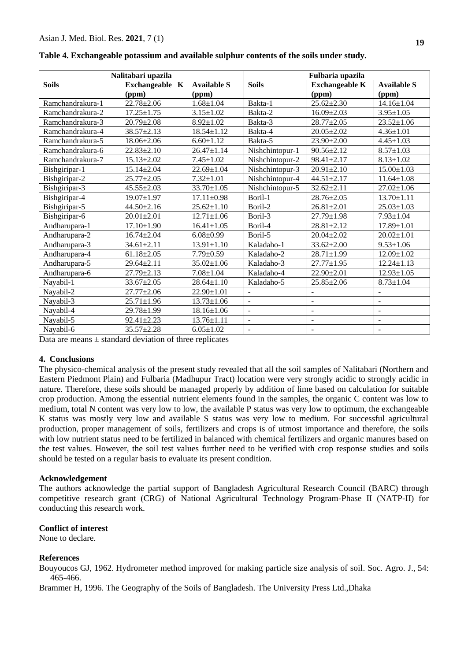|                  | Nalitabari upazila |                                       | Fulbaria upazila         |                          |                          |  |
|------------------|--------------------|---------------------------------------|--------------------------|--------------------------|--------------------------|--|
| <b>Soils</b>     | <b>Available S</b> | <b>Soils</b><br><b>Exchangeable K</b> |                          | <b>Available S</b>       |                          |  |
|                  | (ppm)              | (ppm)                                 |                          | (ppm)                    | (ppm)                    |  |
| Ramchandrakura-1 | $22.78 \pm 2.06$   | $1.68 \pm 1.04$                       | Bakta-1                  | $25.62 \pm 2.30$         | $14.16 \pm 1.04$         |  |
| Ramchandrakura-2 | $17.25 \pm 1.75$   | $3.15 \pm 1.02$                       | Bakta-2                  | $16.09 \pm 2.03$         | $3.95 \pm 1.05$          |  |
| Ramchandrakura-3 | $20.79 \pm 2.08$   | $8.92 \pm 1.02$                       | Bakta-3                  | $28.77 \pm 2.05$         | $23.52 \pm 1.06$         |  |
| Ramchandrakura-4 | $38.57 \pm 2.13$   | $18.54 \pm 1.12$                      | Bakta-4                  | $20.05 \pm 2.02$         | $4.36 \pm 1.01$          |  |
| Ramchandrakura-5 | $18.06 \pm 2.06$   | $6.60 \pm 1.12$                       | Bakta-5                  | $23.90 \pm 2.00$         | $4.45 \pm 1.03$          |  |
| Ramchandrakura-6 | $22.83 \pm 2.10$   | $26.47 \pm 1.14$                      | Nishchintopur-1          | $90.56 \pm 2.12$         | $8.57 \pm 1.03$          |  |
| Ramchandrakura-7 | $15.13 \pm 2.02$   | $7.45 \pm 1.02$                       | Nishchintopur-2          | $98.41 \pm 2.17$         | $8.13 \pm 1.02$          |  |
| Bishgiripar-1    | $15.14 \pm 2.04$   | $22.69 \pm 1.04$                      | Nishchintopur-3          | $20.91 \pm 2.10$         | $15.00 \pm 1.03$         |  |
| Bishgiripar-2    | $25.77 \pm 2.05$   | $7.32 \pm 1.01$                       | Nishchintopur-4          | $44.51 \pm 2.17$         | $11.64 \pm 1.08$         |  |
| Bishgiripar-3    | $45.55 \pm 2.03$   | $33.70 \pm 1.05$                      | Nishchintopur-5          | $32.62 \pm 2.11$         | $27.02 \pm 1.06$         |  |
| Bishgiripar-4    | $19.07 \pm 1.97$   | $17.11 \pm 0.98$                      | Boril-1                  | $28.76 \pm 2.05$         | $13.70 \pm 1.11$         |  |
| Bishgiripar-5    | $44.50 \pm 2.16$   | $25.62 \pm 1.10$                      | Boril-2                  | $26.81 \pm 2.01$         | $25.03 \pm 1.03$         |  |
| Bishgiripar-6    | $20.01 \pm 2.01$   | $12.71 \pm 1.06$                      | Boril-3                  | 27.79±1.98               | $7.93 \pm 1.04$          |  |
| Andharupara-1    | $17.10 \pm 1.90$   | $16.41 \pm 1.05$                      | Boril-4                  | $28.81 \pm 2.12$         | $17.89 \pm 1.01$         |  |
| Andharupara-2    | $16.74 \pm 2.04$   | $6.08 \pm 0.99$                       | Boril-5                  | $20.04 \pm 2.02$         | $20.02 \pm 1.01$         |  |
| Andharupara-3    | $34.61 \pm 2.11$   | $13.91 \pm 1.10$                      | Kaladaho-1               | $33.62 \pm 2.00$         | $9.53 \pm 1.06$          |  |
| Andharupara-4    | $61.18 \pm 2.05$   | $7.79 \pm 0.59$                       | Kaladaho-2               | $28.71 \pm 1.99$         | $12.09 \pm 1.02$         |  |
| Andharupara-5    | $29.64 \pm 2.11$   | $35.02 \pm 1.06$                      | Kaladaho-3               | $27.77 \pm 1.95$         | $12.24 \pm 1.13$         |  |
| Andharupara-6    | $27.79 \pm 2.13$   | $7.08 \pm 1.04$                       | Kaladaho-4               | 22.90±2.01               | $12.93 \pm 1.05$         |  |
| Nayabil-1        | $33.67 \pm 2.05$   | $28.64 \pm 1.10$                      | Kaladaho-5               | $25.85 \pm 2.06$         | $8.73 \pm 1.04$          |  |
| Nayabil-2        | $27.77 \pm 2.06$   | $22.90 \pm 1.01$                      |                          |                          |                          |  |
| Nayabil-3        | $25.71 \pm 1.96$   | $13.73 \pm 1.06$                      | $\blacksquare$           | $\overline{\phantom{a}}$ | $\blacksquare$           |  |
| Nayabil-4        | 29.78±1.99         | $18.16 \pm 1.06$                      | $\overline{\phantom{a}}$ | $\overline{\phantom{a}}$ | $\overline{\phantom{a}}$ |  |
| Nayabil-5        | $92.41 \pm 2.23$   | $13.76 \pm 1.11$                      | $\overline{\phantom{a}}$ | $\overline{a}$           |                          |  |
| Nayabil-6        | $35.57 + 2.28$     | $6.05 \pm 1.02$                       |                          |                          |                          |  |

|  |  | Table 4. Exchangeable potassium and available sulphur contents of the soils under study. |
|--|--|------------------------------------------------------------------------------------------|
|  |  |                                                                                          |

Data are means  $\pm$  standard deviation of three replicates

# **4. Conclusions**

The physico-chemical analysis of the present study revealed that all the soil samples of Nalitabari (Northern and Eastern Piedmont Plain) and Fulbaria (Madhupur Tract) location were very strongly acidic to strongly acidic in nature. Therefore, these soils should be managed properly by addition of lime based on calculation for suitable crop production. Among the essential nutrient elements found in the samples, the organic C content was low to medium, total N content was very low to low, the available P status was very low to optimum, the exchangeable K status was mostly very low and available S status was very low to medium. For successful agricultural production, proper management of soils, fertilizers and crops is of utmost importance and therefore, the soils with low nutrient status need to be fertilized in balanced with chemical fertilizers and organic manures based on the test values. However, the soil test values further need to be verified with crop response studies and soils should be tested on a regular basis to evaluate its present condition.

# **Acknowledgement**

The authors acknowledge the partial support of Bangladesh Agricultural Research Council (BARC) through competitive research grant (CRG) of National Agricultural Technology Program-Phase II (NATP-II) for conducting this research work.

# **Conflict of interest**

None to declare.

# **References**

Bouyoucos GJ, 1962. Hydrometer method improved for making particle size analysis of soil. Soc. Agro. J., 54: 465-466.

Brammer H, 1996. The Geography of the Soils of Bangladesh. The University Press Ltd.,Dhaka